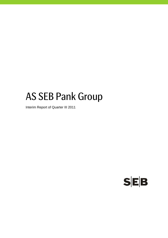# AS SEB Pank Group

Interim Report of Quarter III 2011

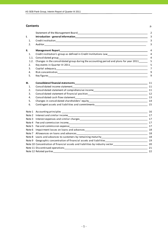## **Contents** p.

|        |                                                                                                                                                                                                                                | $\overline{2}$ |
|--------|--------------------------------------------------------------------------------------------------------------------------------------------------------------------------------------------------------------------------------|----------------|
| I.     |                                                                                                                                                                                                                                | 3              |
| 1.     |                                                                                                                                                                                                                                | 3              |
| 2.     |                                                                                                                                                                                                                                | 3              |
| II.    |                                                                                                                                                                                                                                | 4              |
| 1.     | Credit institution's group as defined in Credit Institutions Law<br><u>Credit institution's group as defined in Credit Institutions Law</u>                                                                                    | 4              |
| 1.1.   |                                                                                                                                                                                                                                | $\overline{4}$ |
| 1.2.   | Changes in the consolidated group during the accounting period and plans for year 2011______                                                                                                                                   | 5              |
| 2.     |                                                                                                                                                                                                                                | 5              |
| 3.     |                                                                                                                                                                                                                                | $\overline{7}$ |
| 4.     |                                                                                                                                                                                                                                | 9              |
| 5.     |                                                                                                                                                                                                                                | 9              |
| III.   |                                                                                                                                                                                                                                | 11             |
| 1.     |                                                                                                                                                                                                                                | 11             |
| 2.     | Consolidated statement of comprehensive income<br><u>[11]</u> 11                                                                                                                                                               |                |
| 3.     |                                                                                                                                                                                                                                |                |
| 4.     |                                                                                                                                                                                                                                |                |
| 5.     |                                                                                                                                                                                                                                |                |
| 6.     |                                                                                                                                                                                                                                | 15             |
|        |                                                                                                                                                                                                                                | 16             |
|        |                                                                                                                                                                                                                                |                |
|        |                                                                                                                                                                                                                                |                |
|        |                                                                                                                                                                                                                                | 17             |
|        |                                                                                                                                                                                                                                | 17             |
| Note 6 | Impairment losses on loans and advances expression and the control of the state of the state of the state of the state of the state of the state of the state of the state of the state of the state of the state of the state |                |
| Note 7 |                                                                                                                                                                                                                                |                |
| Note 8 |                                                                                                                                                                                                                                |                |
|        |                                                                                                                                                                                                                                |                |
|        | Note 10 Concentration of financial assets and liabilities by industry sector__________________________________20                                                                                                               |                |
|        |                                                                                                                                                                                                                                | 21             |
|        | Note 12 Related parties 22                                                                                                                                                                                                     |                |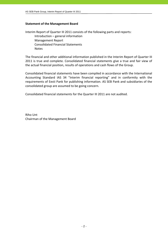## **Statement of the Management Board**

Interim Report of Quarter III 2011 consists of the following parts and reports: Introduction – general information Management Report Consolidated Financial Statements Notes

The financial and other additional information published in the Interim Report of Quarter III 2011 is true and complete. Consolidated financial statements give a true and fair view of the actual financial position, results of operations and cash flows of the Group.

Consolidated financial statements have been compiled in accordance with the International Accounting Standard IAS 34 "Interim financial reporting" and in conformity with the requirements of Eesti Pank for publishing information. AS SEB Pank and subsidiaries of the consolidated group are assumed to be going concern.

Consolidated financial statements for the Quarter III 2011 are not audited.

Riho Unt Chairman of the Management Board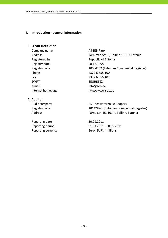## **I. Introduction ‐ general information**

## **1. Credit institution**

Company name AS SEB Pank Registered in The Republic of Estonia Registry date 08.12.1995 Phone  $+3726655100$ Fax  $+372\ 6\ 655\ 102$ SWIFT EEUHEE2X e-mail info@seb.ee

Address Tornimäe Str. 2, Tallinn 15010, Estonia Registry code 10004252 (Estonian Commercial Register) Internet homepage http://www.seb.ee

## **2. Auditor**

Reporting date 30.09.2011

Audit company and all the AS PricewaterhouseCoopers Registry code 10142876 (Estonian Commercial Register) Address Pärnu Str. 15, 10141 Tallinn, Estonia

Reporting period 01.01.2011 - 30.09.2011 Reporting currency Euro (EUR), millions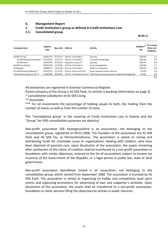## **II. Management Report**

## **1. Credit institution's group as defined in Credit Institutions Law**

## **1.1. Consolidated group**

 $\frac{30.09.11}{20.09.11}$ 

| Company name                 | Registry<br>code | Reg. date | <b>Address</b>         | <b>Activity</b>                                                         | Holding***<br>(%) | At an acqui-<br>sition cost<br>(EURmio) |
|------------------------------|------------------|-----------|------------------------|-------------------------------------------------------------------------|-------------------|-----------------------------------------|
| AS SEB Liising               | 10281767         | 03.10.97  | Tallinn, Tornimäe 2    | Leasing                                                                 | 100.0%            | 1.5                                     |
| AS SEB Kindlustusmaakler*    | 10723587         | 16.01.01  | Tallinn, Tornimäe 2    | Insurance brokerage                                                     | 100.0%            | 0.0                                     |
| AS Rentacar*                 | 10303546         | 20.10.97  | Haapsalu, Karia 27     | Leasing                                                                 | 100.0%            | 0.0                                     |
| AS SEB Varahaldus            | 10035169         | 22.05.96  | Tallinn, Tornimäe 2    | Asset management                                                        | 100.0%            | 2.7                                     |
| AS Bangalo                   | 10088272         | 18.10.96  | Tallinn, Tornimäe 2    | Rental of computers                                                     | 100.0%            | 0.3                                     |
| AS Sertifits eerimiskeskus** | 10747013         | 27.03.01  | Tallinn. Pärnu mnt 141 | Data communication services                                             | 25.0%             | 1.0                                     |
| Tieto Estonia Services OÜ ** | 11065244         | 30.08.04  |                        | Tallinn, Tammsaare tee 47 Information processing and network management | 20.0%             | 0.0                                     |
|                              |                  |           |                        |                                                                         |                   | 5.5                                     |

All enterprises are registered in Estonian Commercial Register.

Parent company of the Group is AS SEB Pank, its activity is banking (information on page 3).

\* Consolidated subsidiaries of AS SEB Liising

\*\* Associates

\*\*\* For all investments the percentage of holding equals to both, the holding from the number of shares as well as from the number of votes.

The "consolidated group" in the meaning of Credit Institutions Law in Estonia and the "Group" for IFRS consolidation purposes are identical.

Non‐profit association SEB Heategevusfond is an association, not belonging to the consolidation group, registered on 06.01.2006. The founders of the association are AS SEB Pank and AS SEB Elu‐ ja Pensionikindlustus. The association is aimed at raising and distributing funds for charitable cause to organisations, dealing with children, who have been deprived of parental care. Upon dissolution of the association, the assets remaining after satisfaction of the claims of creditors shall be transferred to a non‐profit association or foundation with similar objectives, entered to the list of associations subject to income tax incentive of the Government of the Republic, or a legal person in public law, state or local government.

Non‐profit association Spordiklubi United is an association, not belonging to the consolidation group, which started from September 2008. The association is founded by AS SEB Pank. The association is aimed at organising on hobby and competition level sport events and organising promotions for advertising of own and supporter´s activities. Upon dissolution of the association, the assets shall be transferred to a non‐profit association, foundation or other persons filling the objectives by articles in public interests.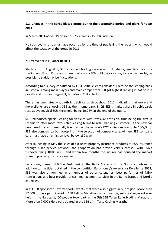# **1.2. Changes in the consolidated group during the accounting period and plans for year 2011**

In March 2011 AS SEB Pank sold 100% shares in AS SEB Enskilda.

No such events or trends have occurred by the time of publishing the report, which would affect the strategy of the group in 2011.

## **2. Key events in Quarter III 2011**

Starting from August 5, SEB extended trading service with US stocks; enabling investors trading on US and European share markets via SEB until their closure, to react as flexibly as possible to sudden price fluctuations.

According to a survey conducted by EPSI Baltic, clients consider SEB to be the leading bank in Estonia. Among main players and main competitors SEB got highest ranking in not only in private and business segment, but also in CSR activity.

There has been steady growth in debit cards throughout 2011, indicating that more and more clients are choosing SEB as their home bank. In Q3 SEB's market share in debit cards rose above magical 30% threshold, being 30.24% at the end of the quarter.

SEB introduced special leasing for vehicles with low CO2 emission, thus being the first in Estonia to offer more favourable leasing terms to retail banking customers, if the new car purchased is environmentally friendly (i.e. the vehicle's CO2 emissions are up to 130g/km). SEB also combats carbon footprint in the selection of company cars. All new SEB company cars must have an emission level below 130g/km.

After launching in May the sales of exclusive property insurance products of RSA Insurance through SEB's service network, the cooperation has proved very successful with RSA's turnover rising 100% in Q3 and within few months the insurer has doubled the market share in property insurance market.

Euromoney named SEB the Best Bank in the Baltic States and the Nordic countries. In addition to the titles obtained in the competition Euromoney's Awards for Excellence 2011, SEB was also a nominee in a number of other categories: best performer of M&A transactions and best provider of cash management services in the Baltic States and Nordic countries.

In Q3 SEB sponsored several sports events that were also biggest in our region. More than 17,000 runners participated in SEB Tallinn Marathon, which was biggest sporting event ever held in the Baltics. 1,400 people took part in the 5th SEB Tartu Rollerblading Marathon. More than 7,000 riders participated in the SEB 14th Tartu Cycling Marathon.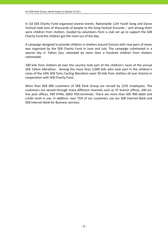In Q3 SEB Charity Fund organized several events. Nationwide 11th Youth Song and Dance Festival took tens of thousands of people to the Song Festival Grounds – and among them were children from shelters. Guided by volunteers from a club set up to support the SEB Charity Fund the children got the most out of the day.

A campaign designed to provide children in shelters around Estonia with new pairs of shoes was organized by the SEB Charity Fund in June and July. The campaign culminated in a special day in Tallinn Zoo, attended by more than a hundred children from shelters nationwide.

100 kids from shelters all over the country took part of the children's races of the annual SEB Tallinn Marathon. Among the more than 2,000 kids who took part in the children's races of the 14th SEB Tartu Cycling Marathon were 50 kids from shelters all over Estonia in cooperation with SEB Charity Fund.

More than 828 000 customers of SEB Pank Group are served by 1235 employees. The customers are served through many different channels such as 37 branch offices, 240 on‐ line post offices, 349 ATMs, 6603 POS‐terminals. There are more than 505 900 debit and credit cards in use. In addition, over 75% of our customers use our SEB Internet Bank and SEB Internet Bank for Business services.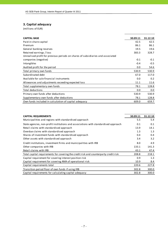# **3. Capital adequacy**

| <b>CAPITAL BASE</b>                                                             | 30.09.11 | 31.12.10 |
|---------------------------------------------------------------------------------|----------|----------|
| Paid-in share capital                                                           | 42.5     | 42.5     |
| Premium                                                                         | 86.1     | 86.1     |
| General banking reserves                                                        | 19.5     | 19.6     |
| Retained earnings / loss                                                        | 383.3    | 328.7    |
| Unrealised profit for previous periods on shares of subsidiaries and associated |          |          |
| companies (negative)                                                            | $-0.1$   | $-0.1$   |
| Intangibles                                                                     | $-0.4$   | $-0.5$   |
| Audited profit for the period                                                   | 0.0      | 54.6     |
| Total primary own funds                                                         | 530.9    | 530.9    |
| Subordinated debt                                                               | 67.0     | 117.0    |
| Available for sale financial instruments                                        | 0.0      | 0.2      |
| Allowances and adjustments exceeding expected loss                              | 11.1     | 11.6     |
| Total supplementary own funds                                                   | 78.1     | 128.8    |
| Total deductions                                                                | 0.0      | 0.0      |
| Primary own funds after deductions                                              | 530.9    | 530.9    |
| Supplementary own funds after deductions                                        | 78.1     | 128.8    |
| Own funds included in calculation of capital adequacy                           | 609.0    | 659.7    |
|                                                                                 |          |          |

| <b>CAPITAL REQUIREMENTS</b>                                                          | 30.09.11 | 31.12.10 |
|--------------------------------------------------------------------------------------|----------|----------|
| Municipalities and regions with standardised approach                                | 5.5      | 5.4      |
| State agencies, non-profit institutions and associations with standardised approach  | 0.1      | 0.1      |
| Retail claims with standardised approach                                             | 13.9     | 14.1     |
| Overdue claims with standardised approach                                            | 1.3      | 1.3      |
| Shares of investment funds with standardised approach                                | 0.4      | 0.4      |
| Other assets with standardised approach                                              | 3.4      | 3.2      |
| Credit institutions, investment firms and municipalities with IRB                    | 8.0      | 4.9      |
| Other companies with IRB                                                             | 133.1    | 141.3    |
| Retail claims with IRB                                                               | 43.1     | 47.4     |
| Total capital requirements for covering the credit risk and counterparty credit risk | 208.8    | 218.1    |
| Capital requirement for covering interest position risk                              | 0.9      | 1.3      |
| Capital requirement for covering AMA of operational risk                             | 10.9     | 8.4      |
| Capital requirements total                                                           | 220.6    | 227.8    |
| Transition period floor of own funds if using IRB                                    | 302.8    | 300.0    |
| Capital requirements for calculating capital adequacy                                | 302.8    | 300.0    |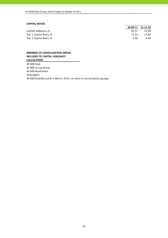### **CAPITAL RATIOS**

|                         |       | 30.09.11 31.12.10 |
|-------------------------|-------|-------------------|
| Capital adequacy, %     | 20.11 | 21.99             |
| Tier 1 Capital Ratio, % | 17.53 | 17.69             |
| Tier 2 Capital Ratio, % | 2.58  | 4.30              |

**MEMBERS OF CONSOLIDATION GROUP, INCLUDED TO CAPITAL ADEQUACY CALCULATION**

AS SEB Pank AS SEB Liising Group AS SEB Varahaldus AS Bangalo AS SEB Enskilda (sold in March, 2011, no more in consolidation group)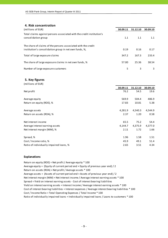## **4. Risk concentration**

| (millions of EUR)                                                                                                       | 30.09.11 | 31.12.10 | 30.09.10 |
|-------------------------------------------------------------------------------------------------------------------------|----------|----------|----------|
| Total claims against persons associated with the credit institution's<br>consolidation group                            | 1.1      | 1.1      | 1.1      |
| The share of claims of the persons associated with the credit<br>institution's consolidation group in net own funds, %, | 0.19     | 0.16     | 0.17     |
| Total of large exposure claims                                                                                          | 347.2    | 167.3    | 233.4    |
| The share of large exposure claims in net own funds, %                                                                  | 57.00    | 25.36    | 38.54    |
| Number of large exposure customers                                                                                      | 5        | 3        | 3        |

## **5. Key figures**

| (millions of EUR)                       |          |          |          |
|-----------------------------------------|----------|----------|----------|
|                                         | 30.09.11 | 31.12.10 | 30.09.10 |
| Net profit                              | 76.2     | 54.5     | 19.6     |
| Average equity                          | 569.9    | 504.4    | 486.9    |
| Return on equity (ROE), %               | 17.83    | 10.81    | 5.38     |
| Average assets                          | 4,281.9  | 4,540.3  | 4,544.9  |
| Return on assets (ROA), %               | 2.37     | 1.20     | 0.58     |
| Net interest income                     | 65.5     | 75.2     | 54.4     |
| Average interest earning assets         | 4,144.7  | 4,375.9  | 4,377.0  |
| Net interest margin (NIM), %            | 2.11     | 1.72     | 1.66     |
| Spread, %                               | 1.96     | 1.58     | 1.51     |
| Cost / Income ratio, %                  | 45.9     | 49.1     | 51.4     |
| Ratio of individually impaired loans, % | 2.65     | 3.51     | 4.34     |

## **Explanations**

Return on equity (ROE) = Net profit / Average equity \* 100 Average equity = (Equity of current period end + Equity of previous year end) / 2 Return on assets (ROA) = Net profit / Average assets \* 100 Average assets = (Assets of current period end + Assets of previous year end) / 2 Cost of interest bearing liabilities = Interest expenses / Average interest bearing liabilities \* 100 Cost / Income Ratio = Total Operating Expenses / Total Income \* 100 Spread = Yield on interest earning assets ‐ Cost of interest bearing liabilities Ratio of individually impaired loans = Individually impaired loans / Loans to customers \* 100 Net interest margin (NIM) = Net interest income / Average interest earning assets \* 100 Yield on interest earning assets = Interest income / Average interest earning assets \* 100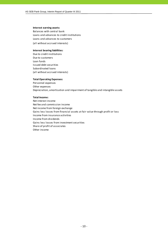#### **Interest earning assets:**

Balances with central bank Loans and advances to credit institutions (all without accrued interests) Loans and advances to customers

#### **Interest bearing liabilities:**

Due to credit institutions Due to customers Loan funds Issued debt securities Subordinated loans (all without accrued interests)

#### **Total Operating Expenses:**

Personnel expenses Other expenses Depreciation, amortisation and impairment of tangible and intangible assets

#### **Total Income:**

Net interest income Net fee and commission income Net income from foreign exchange Gains less losses from financial assets at fair value through profit or loss Income from insurance activities Income from dividends Gains less losses from investment securities Share of profit of associates Other income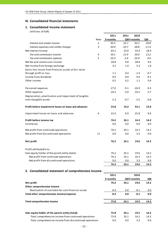## **III. Consolidated financial statements**

# **1. Consolidated income statement**

|                                                          |             | 2011     | 2011    | 2010         |         |
|----------------------------------------------------------|-------------|----------|---------|--------------|---------|
|                                                          | <b>Note</b> | 9 months |         | QIII9 months | QIII    |
| Interest and similar income                              | 2           | 95.5     | 33.7    | 93.2         | 29.8    |
| Interest expenses and similar charges                    | 3           | $-30.0$  | $-10.7$ | $-38.8$      | $-11.4$ |
| Net Interest Income                                      |             | 65.5     | 23.0    | 54.4         | 18.4    |
| Fee and commission income                                | 4           | 39.1     | 12.4    | 39.0         | 13.2    |
| Fee and commission expense                               | 5           | $-10.3$  | $-3.4$  | $-10.4$      | $-3.6$  |
| Net fee and commission income                            |             | 28.8     | 9.0     | 28.6         | 9.6     |
| Net income from foreign exchange                         |             | 3.5      | 1.4     | 5.3          | 1.8     |
| Gains less losses from financial assets at fair value    |             |          |         |              |         |
| through profit or loss                                   |             | 1.1      | 0.4     | $-1.4$       | $-0.7$  |
| Income from dividends                                    |             | 0.0      | 0.0     | 0.0          | $-0.1$  |
| Other income                                             |             | 0.5      | 0.2     | 1.1          | 0.4     |
| Personnel expenses                                       |             | $-27.0$  | $-9.1$  | $-26.9$      | $-9.3$  |
| Other expenses                                           |             | $-16.3$  | $-5.0$  | $-16.5$      | $-5.7$  |
| Depreciation, amortisation and impairment of tangible    |             |          |         |              |         |
| and intangible assets                                    |             | $-2.3$   | $-0.7$  | $-2.5$       | $-0.8$  |
| Profit before impairment losses on loans and advances    |             | 53.8     | 19.2    | 42.1         | 13.6    |
| Impairment losses on loans and advances                  | 6           | 22.4     | 6.9     | $-25.8$      | 0.6     |
| Profit before income tax                                 |             | 76.2     | 26.1    | 16.3         | 14.2    |
| Income tax                                               |             | 0.0      | 0.0     | 0.0          | 0.0     |
| Net profit from continued operations                     |             | 76.2     | 26.1    | 16.3         | 14.2    |
| Net profit from discontinued operations                  | 11          | 0.0      | 0.0     | 3.3          | 0.0     |
| Net profit                                               |             | 76.2     | 26.1    | 19.6         | 14.2    |
| Profit attributable to:                                  |             |          |         |              |         |
| Sole equity holder of the parent entity (total)          |             | 76.2     | 26.1    | 19.6         | 14.2    |
| -Net profit from continued operations                    |             | 76.2     | 26.1    | 16.3         | 14.2    |
| -Net profit from discontinued operations                 |             | 0.0      | 0.0     | 3.3          | 0.0     |
|                                                          |             | 76.2     | 26.1    | 19.6         | 14.2    |
| 2. Consolidated statement of comprehensive income        |             |          |         |              |         |
|                                                          |             | 2011     |         | 2010         |         |
|                                                          |             | 9 months |         | QIII9 months | QIII    |
| Net profit                                               |             | 76.2     | 26.1    | 19.6         | 14.2    |
| Other comprehensive income                               |             |          |         |              |         |
| Revaluation of available-for-sale financial assets       |             | $-0.4$   | 0.0     | $-0.1$       | 0.0     |
| Total other comprehensive income/expense                 |             | $-0.4$   | 0.0     | $-0.1$       | $0.0\,$ |
| <b>Total comprehensive income</b>                        |             | 75.8     | 26.1    | 19.5         | 14.2    |
| Sole equity holder of the parent entity (total)          |             | 75.8     | 26.1    | 19.5         | 14.2    |
| -Total comprehensive income from continued operations    |             | 75.8     | 26.1    | 16.2         | 14.2    |
| -Total comprehensive income from discontinued operations |             | 0.0      | 0.0     | 3.3          | 0.0     |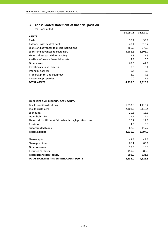# **3. Consolidated statement of financial position**

| (millions of EUR)                         |          |          |
|-------------------------------------------|----------|----------|
|                                           | 30.09.11 | 31.12.10 |
| <b>ASSETS</b>                             |          |          |
| Cash                                      | 36.2     | 38.9     |
| Balances with central bank                | 47.4     | 316.2    |
| Loans and advances to credit institutions | 466.6    | 279.5    |
| Loans and advances to customers           | 3,586.8  | 3,606.7  |
| Financial assets held for trading         | 19.8     | 21.9     |
| Available-for-sale financial assets       | 4.8      | 5.0      |
| Other assets                              | 68.6     | 47.8     |
| Investments in associates                 | 0.5      | 0.4      |
| Intangible assets                         | 0.4      | 0.5      |
| Property, plant and equipment             | 6.9      | 7.3      |
| Investment properties                     | 0.0      | 1.6      |
| <b>TOTAL ASSETS</b>                       | 4,238.0  | 4,325.8  |

## **LIABILITIES AND SHAREHOLDERS' EQUITY**

| Due to credit institutions                                 | 1,033.8 | 1,419.4 |
|------------------------------------------------------------|---------|---------|
| Due to customers                                           | 2,403.7 | 2,149.4 |
| Loan funds                                                 | 20.6    | 13.3    |
| Other liabilities                                          | 79.2    | 72.1    |
| Financial liabilities at fair value through profit or loss | 20.7    | 22.3    |
| Provisions                                                 | 4.5     | 0.3     |
| Subordinated loans                                         | 67.5    | 117.2   |
| <b>Total Liabilities</b>                                   | 3,630.0 | 3,794.0 |
| Share capital                                              | 42.5    | 42.5    |
| Share premium                                              | 86.1    | 86.1    |
| Other reserves                                             | 19.5    | 19.9    |
| Retained earnings                                          | 459.9   | 383.3   |
|                                                            |         |         |
| <b>Total shareholders' equity</b>                          | 608.0   | 531.8   |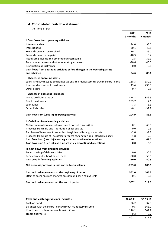## **4. Consolidated cash flow statement**

|                                                                                 | 2011     | 2010     |
|---------------------------------------------------------------------------------|----------|----------|
|                                                                                 | 9 months | 9 months |
| I. Cash flows from operating activities                                         |          |          |
| Interest received                                                               | 94.0     | 93.0     |
| Interest paid                                                                   | $-30.1$  | $-40.8$  |
| Fee and commission received                                                     | 39.1     | 39.0     |
| Fee and commission paid                                                         | $-10.3$  | $-10.4$  |
| Net trading income and other operating income                                   | 2.5      | 39.9     |
| Personnel expenses and other operating expenses                                 | $-40.6$  | $-40.0$  |
| Revaluation adjustments                                                         | 0.0      | $-0.1$   |
| Cash flows from operating activities before changes in the operating assets     |          |          |
| and liabilities                                                                 | 54.6     | 80.6     |
| Changes in operating assets:                                                    |          |          |
| Loans and advances to credit institutions and mandatory reserve in central bank | $-188.3$ | 150.9    |
| Loans and advances to customers                                                 | 43.4     | 236.5    |
| Other assets                                                                    | $-0.7$   | 2.5      |
| <b>Changes of operating liabilities:</b>                                        |          |          |
| Due to credit institutions                                                      | $-374.8$ | $-349.9$ |
| Due to customers                                                                | 253.7    | 2.1      |
| Loan funds                                                                      | 7.3      | $-1.3$   |
| Other liabilities                                                               | $-0.1$   | $-37.8$  |
|                                                                                 |          |          |
| Cash flow from (used in) operating activities                                   | $-204.9$ | 83.6     |
| II. Cash flows from investing activities                                        |          |          |
| Net increase-/decrease+ of investment portfolio securities                      | 0.1      | 68.8     |
| Proceeds from sale and liquidation of associates                                | 0.0      | 0.3      |
| Purchase of investment properties, tangible and intangible assets               | $-2.0$   | $-1.7$   |
| Proceeds from sale of investment properties, tangible and intangible assets     | 1.8      | 2.3      |
| Cash flow from (used in) investing activities, continued operations             | $-0.1$   | 69.7     |
| Cash flow from (used in) investing activities, discontinued operations          | 0.0      | 3.3      |
| III. Cash flows from financing activities                                       |          |          |
| Repurchasing of debt securities                                                 | 0.0      | $-0.5$   |
| Repayments of subordinated loans                                                | $-50.0$  | $-50.0$  |
| Cash used in financing activities                                               | $-50.0$  | $-50.5$  |
|                                                                                 |          |          |
| Net decrease/increase in cash and cash equivalents                              | $-255.0$ | 106.1    |
| Cash and cash equivalents at the beginning of period                            | 562.0    | 405.3    |
| Effect of exchange rate changes on cash and cash equivalents                    | 0.1      | $-0.1$   |
| Cash and cash equivalents at the end of period                                  | 307.1    | 511.3    |

| Cash and cash equivalents includes:                      | 30.09.11 | 30.09.10 |
|----------------------------------------------------------|----------|----------|
| Cash on hand                                             | 36.2     | 37.5     |
| Balances with the central bank without mandatory reserve | 0.5      | 163.2    |
| Liquid deposits in other credit institutions             | 270.2    | 309.9    |
| Trading portfolio                                        | 0.2      | 0.7      |
|                                                          | 307.1    | 511.3    |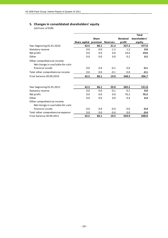# **5. Changes in consolidated shareholders' equity**

|                                                                 |               |              |                 |                 | <b>Total</b>  |
|-----------------------------------------------------------------|---------------|--------------|-----------------|-----------------|---------------|
|                                                                 |               | <b>Share</b> |                 | <b>Retained</b> | shareholders' |
|                                                                 | Share capital | premium      | <b>Reserves</b> | profit          | equity        |
| Year beginning 01.01.2010                                       | 42.5          | 86.1         | 21.2            | 327.2           | 477.0         |
| Statutory reserve                                               | 0.0           | 0.0          | $-1.2$          | 1.2             | 0.0           |
| Net profit                                                      | 0.0           | 0.0          | 0.0             | 19.6            | 19.6          |
| Other                                                           | 0.0           | 0.0          | 0.0             | 0.2             | 0.2           |
| Other comprehensive income:<br>Net change in available-for-sale |               |              |                 |                 |               |
| financial assets                                                | 0.0           | 0.0          | $-0.1$          | 0.0             | $-0.1$        |
| Total other comprehensive income                                | 0.0           | 0.0          | $-0.1$          | 0.0             | $-0.1$        |
| Final balance 30.09.2010                                        | 42.5          | 86.1         | 19.9            | 348.2           | 496.7         |
|                                                                 |               |              |                 |                 |               |
| Year beginning 01.01.2011                                       | 42.5          | 86.1         | 20.0            | 383.2           | 531.8         |
| Statutory reserve                                               | 0.0           | 0.0          | $-0.1$          | 0.1             | 0.0           |
| Net profit                                                      | 0.0           | 0.0          | 0.0             | 76.2            | 76.2          |
| Other                                                           | 0.0           | 0.0          | 0.0             | 0.4             | 0.4           |
| Other comprehensive income:                                     |               |              |                 |                 |               |
| Net change in available-for-sale                                |               |              |                 |                 |               |
| financial assets                                                | 0.0           | 0.0          | $-0.4$          | 0.0             | $-0.4$        |
| Total other comprehensive expense                               | 0.0           | 0.0          | $-0.4$          | 0.0             | $-0.4$        |
| Final balance 30.09.2011                                        | 42.5          | 86.1         | 19.5            | 459.9           | 608.0         |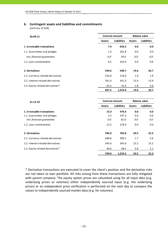# **6. Contingent assets and liabilities and commitments**

(millions of EUR)

| 30.09.11                          |               | <b>Contract amount</b> | <b>Balance value</b> |                    |  |
|-----------------------------------|---------------|------------------------|----------------------|--------------------|--|
|                                   | <b>Assets</b> | <b>Liabilities</b>     | <b>Assets</b>        | <b>Liabilities</b> |  |
| 1. Irrevocable transactions       | 7.9           | 656.2                  | 0.0                  | 0.0                |  |
| 1.1. Guarantees and pledges       | 1.4           | 201.8                  | 0.0                  | 0.0                |  |
| incl. financial guarantees        | 0.0           | 74.0                   | 0.0                  | 0.0                |  |
| 1.2. Loan commitments             | 6.5           | 354.4                  | 0.0                  | 0.0                |  |
| 2. Derivatives                    | 599.6         | 598.7                  | 19.6                 | 20.7               |  |
| 2.1. Currency related derivatives | 216.0         | 216.0                  | 1.9                  | 1.9                |  |
| 2.2. Interest related derivatives | 341.4         | 341.3                  | 15.9                 | 15.9               |  |
| 2.3. Equity related derivatives*  | 42.2          | 41.4                   | 1.8                  | 2.9                |  |
|                                   | 607.5         | 1,254.9                | 19.6                 | 20.7               |  |

| 31.12.10                          | <b>Contract amount</b> |                    | <b>Balance value</b> |                    |  |
|-----------------------------------|------------------------|--------------------|----------------------|--------------------|--|
|                                   | <b>Assets</b>          | <b>Liabilities</b> | <b>Assets</b>        | <b>Liabilities</b> |  |
| 1. Irrevocable transactions       | 15.0                   | 476.4              | 0.0                  | 0.0                |  |
| 1.1. Guarantees and pledges       | 2.5                    | 197.5              | 0.0                  | 0.0                |  |
| incl. financial quarantees        | 0.0                    | 82.6               | 0.0                  | 0.0                |  |
| 1.2. Loan commitments             | 12.5                   | 278.9              | 0.0                  | 0.0                |  |
| 2. Derivatives                    | 784.0                  | 782.8              | 20.5                 | 22.3               |  |
| 2.1. Currency related derivatives | 388.8                  | 389.1              | 1.7                  | 2.0                |  |
| 2.2. Interest related derivatives | 345.6                  | 345.6              | 15.2                 | 15.2               |  |
| 2.3. Equity related derivatives*  | 49.6<br>48.1           |                    | 3.6                  | 5.1                |  |
|                                   | 799.0                  | 1,259.2            | 20.5                 | 22.3               |  |

\* Derivative transactions are executed to cover the client's position and the derivative risks are not taken to own portfolio. All risks arising from these transactions are fully mitigated with parent company. The equity option prices are calculated using for all input data (e.g. underlying prices or volumes) either independently sourced input (e.g. the underlying prices) or an independent price verification is performed on the next day to compare the values to independently sourced market data (e.g. for volumes).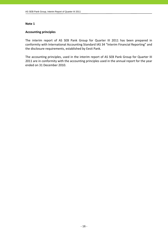## **Accounting principles**

The interim report of AS SEB Pank Group for Quarter III 2011 has been prepared in conformity with International Accounting Standard IAS 34 "Interim Financial Reporting" and the disclosure requirements, established by Eesti Pank.

The accounting principles, used in the interim report of AS SEB Pank Group for Quarter III 2011 are in conformity with the accounting principles used in the annual report for the year ended on 31 December 2010.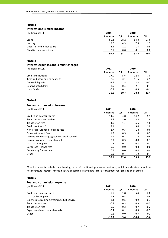#### **Interest and similar income**

(millions of EUR) **2011 2010**

|                           | 9 months | QIII | 9 months | QIII    |
|---------------------------|----------|------|----------|---------|
| Loans                     | 80.3     | 28.2 | 84.3     | 27.6    |
| Leasing                   | 12.6     | 4.3  | 7.5      | 1.7     |
| Deposits with other banks | 2.5      | 1.2  | 1.3      | 0.5     |
| Fixed income securities   | 0.1      | 0.0  | 0.1      | $0.0\,$ |
|                           | 95.5     | 33.7 | 93.2     | 29.8    |

## **Note 3**

## **Interest expenses and similar charges**

(millions of EUR) **2011 2010**

|                                | 9 months | QIII    | 9 months | QIII    |
|--------------------------------|----------|---------|----------|---------|
| Credit institutions            | $-17.0$  | $-5.6$  | $-22.6$  | $-7.0$  |
| Time and other saving deposits | $-7.6$   | $-3.1$  | $-11.5$  | $-2.9$  |
| Demand deposits                | $-3.6$   | $-1.5$  | $-2.3$   | $-0.7$  |
| Subordinated debts             | $-1.5$   | $-0.4$  | $-2.1$   | $-0.7$  |
| Loan funds                     | $-0.3$   | $-0.1$  | $-0.3$   | $-0.1$  |
|                                | $-30.0$  | $-10.7$ | $-38.8$  | $-11.4$ |

## **Note 4**

## **Fee and commission income**

| (millions of EUR)                             | 2011     |      | 2010     |      |
|-----------------------------------------------|----------|------|----------|------|
|                                               | 9 months | QIII | 9 months | QIII |
| Credit and payment cards                      | 14.6     | 4.8  | 14.2     | 5.1  |
| Securities market services                    | 9.5      | 3.0  | 8.8      | 2.9  |
| Transaction fees                              | 4.0      | 1.4  | 5.5      | 1.8  |
| Credit contracts*                             | 3.1      | 1.1  | 3.0      | 1.0  |
| Non-life insurance brokerage fees             | 2.7      | 0.3  | 1.8      | 0.6  |
| Other settlement fees                         | 1.5      | 0.5  | 1.4      | 0.5  |
| Income from leasing agreements (full service) | 1.1      | 0.3  | 1.2      | 0.4  |
| Income from electronic channels               | 0.9      | 0.3  | 0.8      | 0.3  |
| Cash handling fees                            | 0.7      | 0.3  | 0.8      | 0.2  |
| Corporate Finance fees                        | 0.0      | 0.0  | 0.3      | 0.0  |
| Commodity futures fees                        | 0.1      | 0.0  | 0.0      | 0.0  |
| Other                                         | 0.9      | 0.4  | 1.2      | 0.4  |
|                                               | 39.1     | 12.4 | 39.0     | 13.2 |

\*Credit contracts include loan, leasing, letter of credit and guarantee contracts, which are short‐term and do not constitute interest income, but are of administrative nature for arrangement reorganisation of credits.

## **Note 5**

| Fee and commission expense                    |          |        |          |        |
|-----------------------------------------------|----------|--------|----------|--------|
| (millions of EUR)                             | 2011     |        | 2010     |        |
|                                               | 9 months | QIII   | 9 months | QIII   |
| Credit and payment cards                      | $-5.5$   | $-1.8$ | $-5.4$   | $-2.0$ |
| Cash collecting fees                          | $-1.5$   | $-0.5$ | $-1.3$   | $-0.4$ |
| Expenses to leasing agreements (full service) | $-1.4$   | $-0.5$ | $-0.9$   | $-0.3$ |
| Securities market                             | $-0.9$   | $-0.3$ | $-0.9$   | $-0.3$ |
| Transaction fees                              | $-0.5$   | $-0.2$ | $-0.7$   | $-0.2$ |
| Expenses of electronic channels               | $-0.4$   | $-0.1$ | $-0.5$   | $-0.2$ |
| Other                                         | $-0.1$   | 0.0    | $-0.7$   | $-0.2$ |
|                                               | $-10.3$  | $-3.4$ | $-10.4$  | $-3.6$ |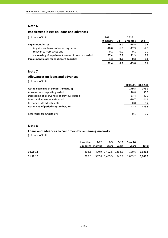# **Impairment losses on loans and advances**

| (millions of EUR)                                  | 2011     |        | 2010     |        |
|----------------------------------------------------|----------|--------|----------|--------|
|                                                    | 9 months | QIII   | 9 months | QIII   |
| <b>Impairment losses</b>                           | 26.7     | 6.0    | $-25.5$  | 0.6    |
| impairment losses of reporting period              | $-10.8$  | $-1.8$ | $-47.9$  | $-7.3$ |
| recoveries from write-offs                         | 0.1      | 0.0    | 0.1      | 0.0    |
| decreasing of impairment losses of previous period | 37.4     | 7.8    | 22.3     | 7.9    |
| Impairment losses for contingent liabilities       | $-4.3$   | 0.9    | $-0.3$   | 0.0    |
|                                                    | 22.4     | 6.9    | $-25.8$  | 0.6    |

## **Note 7**

## **Allowances on loans and advances**

(millions of EUR)

|                                             | 30.09.11 | 31.12.10 |
|---------------------------------------------|----------|----------|
| At the beginning of period (January, 1)     | 179.5    | 195.3    |
| Allowances of reporting period              | 10.8     | 55.7     |
| Decreasing of allowances of previous period | $-37.4$  | $-47.1$  |
| Loans and advances written off              | $-10.7$  | $-24.6$  |
| Exchange rate adjustments                   | 0.0      | 0.2      |
| At the end of period (September, 30)        | 142.2    | 179.5    |
|                                             |          |          |
| Recoveries from write-offs                  | 0.1      | 0.2      |

## **Note 8**

## **Loans and advances to customers by remaining maturity**

|          | Less than<br>3 months months | vears | $3-12$ $1-5$ $5-10$<br>vears | Over 10<br>vears                          | Total |
|----------|------------------------------|-------|------------------------------|-------------------------------------------|-------|
| 30.09.11 |                              |       |                              | 208.3 490.9 1,402.5 1,364.5 120.6 3,586.8 |       |
| 31.12.10 |                              |       |                              | 207.6 387.6 1,465.5 542.8 1,003.2 3,606.7 |       |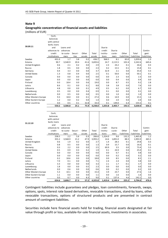## **Geographic concentration of financial assets and liabilities**

(millions of EUR)

|                      | Cash,        |           |         |        |         |          |         |             |             |             |
|----------------------|--------------|-----------|---------|--------|---------|----------|---------|-------------|-------------|-------------|
|                      | balances     |           |         |        |         |          |         |             |             |             |
|                      | with central |           |         |        |         |          |         |             |             |             |
|                      | bank, loans  |           |         |        |         |          |         |             |             |             |
| 30.09.11             | and          | Loans and |         |        |         | Due to   |         |             |             |             |
|                      | advances to  | advances  |         |        |         | credit   | Due to  |             |             | Contin-     |
|                      | credit       | to custo- | Securi- | Other  | Total   | institu- | custo-  | Other       | Total       | gent        |
|                      | institutions | mers      | ties    | assets | assets  | tions    | mers    | liabilities | liabilities | liabilities |
| Sweden               | 431.0        | 1.7       | 3.8     | 0.2    | 436.7   | 968.5    | 8.1     | 83.0        | 1,059.6     | 1.3         |
| Estonia              | 90.7         | 3,540.9   | 20.4    | 41.6   | 3,693.6 | 24.7     | 2,115.5 | 102.4       | 2,242.6     | 645.6       |
| United Kingdom       | 0.6          | 2.1       | 0.2     | 0.0    | 2.9     | 2.3      | 24.2    | 0.1         | 26.6        | 0.3         |
| Russia               | 1.8          | 0.5       | 0.0     | 0.0    | 2.3     | 0.2      | 15.5    | 0.1         | 15.8        | 0.1         |
| Germany              | 0.4          | 3.3       | 0.0     | 0.0    | 3.7     | 32.9     | 2.1     | 0.0         | 35.0        | 4.3         |
| <b>United States</b> | 1.3          | 0.8       | 0.4     | 0.0    | 2.5     | 0.1      | 50.0    | 0.0         | 50.1        | 0.1         |
| Canada               | 0.0          | 0.0       | 0.0     | 0.0    | 0.0     | 0.0      | 2.3     | 0.0         | 2.3         | 0.0         |
| Japan                | 0.0          | 0.0       | 0.0     | 0.0    | 0.0     | 0.0      | 0.4     | 0.0         | 0.4         | 0.0         |
| Finland              | 0.0          | 18.4      | 0.0     | 0.6    | 19.0    | 0.0      | 8.7     | 0.5         | 9.2         | 2.8         |
| Latvia               | 8.6          | 0.1       | 0.0     | 0.1    | 8.8     | 3.8      | 3.8     | 0.0         | 7.6         | 0.0         |
| Lithuania            | 4.8          | 0.0       | 0.0     | 0.1    | 4.9     | 0.5      | 6.2     | 0.0         | 6.7         | 0.0         |
| Luxembourg           | 0.5          | 0.0       | 0.0     | 0.4    | 0.9     | 0.1      | 0.0     | 0.0         | 0.1         | 0.0         |
| Netherlands          | 0.0          | 0.5       | 0.0     | 0.0    | 0.5     | 0.0      | 1.0     | 0.0         | 1.0         | 0.0         |
| Other Western Europe | 9.3          | 18.0      | 0.0     | 0.1    | 27.4    | 0.6      | 14.9    | 0.0         | 15.5        | 1.6         |
| Other Eastern Europe | 1.2          | 0.0       | 0.2     | 0.0    | 1.4     | 0.0      | 2.0     | 0.0         | 2.0         | 0.0         |
| Other countries      | 0.0          | 0.5       | 0.1     | 32.8   | 33.4    | 0.1      | 149.0   | 6.4         | 155.5       | 0.1         |
|                      | 550.2        | 3,586.8   | 25.1    | 75.9   | 4,238.0 | 1,033.8  | 2,403.7 | 192.5       | 3,630.0     | 656.2       |
|                      |              |           |         |        |         |          |         |             |             |             |
|                      | Cash,        |           |         |        |         |          |         |             |             |             |
|                      | balances     |           |         |        |         |          |         |             |             |             |
|                      | with central |           |         |        |         |          |         |             |             |             |
| 31.12.10             | bank, loans  |           |         |        |         |          |         |             |             |             |
|                      | and          | Loans and |         |        |         | Due to   |         |             |             |             |

| 31.12.10             | ~~~~~~~~~    |           |         |        |         |          |         |             |             |             |
|----------------------|--------------|-----------|---------|--------|---------|----------|---------|-------------|-------------|-------------|
|                      | and          | Loans and |         |        |         | Due to   |         |             |             |             |
|                      | advances to  | advances  |         |        |         | credit   | Due to  |             |             | Contin-     |
|                      | credit       | to custo- | Securi- | Other  | Total   | institu- | custo-  | Other       | Total       | gent        |
|                      | institutions | mers      | ties    | assets | assets  | tions    | mers    | liabilities | liabilities | liabilities |
| Sweden               | 258.5        | 2.2       | 5.6     | 0.3    | 266.6   | 1,324.0  | 9.6     | 132.2       | 1,465.8     | 1.2         |
| Estonia              | 355.2        | 3,568.9   | 21.2    | 47.9   | 3,993.2 | 14.6     | 1,891.0 | 88.3        | 1,993.9     | 465.5       |
| United Kingdom       | 0.6          | 1.9       | 0.2     | 0.0    | 2.7     | 1.4      | 28.3    | 0.1         | 29.8        | 0.3         |
| Russia               | 0.8          | 0.5       | 0.0     | 0.0    | 1.3     | 0.9      | 15.7    | 0.0         | 16.6        | 0.1         |
| Germany              | 0.3          | 2.2       | 0.0     | 0.0    | 2.5     | 69.9     | 3.5     | 0.0         | 73.4        | 5.5         |
| <b>United States</b> | 0.5          | 0.9       | 0.3     | 0.2    | 1.9     | 0.1      | 24.9    | 0.0         | 25.0        | 0.1         |
| Canada               | 0.0          | 0.0       | 0.0     | 0.0    | 0.0     | 0.0      | 0.7     | 0.1         | 0.8         | 0.0         |
| Japan                | 0.0          | 0.0       | 0.0     | 0.0    | 0.0     | 0.0      | 0.2     | 0.0         | 0.2         | 0.0         |
| Finland              | 0.2          | 18.6      | 0.0     | 0.0    | 18.8    | 0.0      | 8.5     | 0.0         | 8.5         | 2.1         |
| Latvia               | 7.0          | 0.1       | 0.0     | 0.0    | 7.1     | 2.4      | 2.4     | 0.0         | 4.8         | 0.0         |
| Lithuania            | 3.3          | 0.0       | 0.0     | 0.0    | 3.3     | 2.1      | 1.7     | $-0.1$      | 3.7         | 0.0         |
| Luxembourg           | 1.8          | 0.0       | 0.0     | 0.5    | 2.3     | 0.0      | 0.0     | 0.0         | 0.0         | 0.0         |
| Netherlands          | 0.0          | 0.6       | 0.0     | 0.0    | 0.6     | 0.0      | 0.2     | 0.0         | 0.2         | 0.0         |
| Other Western Europe | 5.3          | 10.1      | 0.0     | 0.0    | 15.4    | 3.9      | 23.7    | 0.0         | 27.6        | 1.6         |
| Other Eastern Europe | 1.1          | 0.0       | 0.0     | 0.0    | 1.1     | 0.0      | 1.6     | 0.0         | 1.6         | 0.0         |
| Other countries      | 0.0          | 0.7       | 0.0     | 8.3    | 9.0     | 0.1      | 137.4   | 4.6         | 142.1       | 0.0         |
|                      | 634.6        | 3,606.7   | 27.3    | 57.2   | 4,325.8 | 1,419.4  | 2,149.4 | 225.2       | 3,794.0     | 476.4       |

Contingent liabilities include guarantees and pledges, loan commitments, forwards, swaps, options, spots, interest rate based derivatives, revocable transactions, stand‐by loans, other revocable transactions, options of structured products and are presented in contract amount of contingent liabilities.

Securities include here financial assets held for trading, financial assets designated at fair value through profit or loss, available-for-sale financial assets, investments in associates.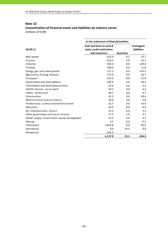# **Concentration of financial assets and liabilities by industry sector** (millions of EUR)

|                                              | In the statement of financial position |                   |                    |
|----------------------------------------------|----------------------------------------|-------------------|--------------------|
|                                              | Cash and loans to central              |                   | Contingent         |
| 30.09.11                                     | bank, credit institutions              |                   | <b>liabilities</b> |
|                                              | and customers                          | <b>Securities</b> |                    |
| Real estate                                  | 632.6                                  | 0.1               | 13.7               |
| Finance                                      | 554.5                                  | 3.8               | 16.1               |
| Industry                                     | 283.4                                  | 0.0               | 128.6              |
| Trading                                      | 186.6                                  | 0.0               | 71.0               |
| Energy, gas and steam plants                 | 117.3                                  | 0.0               | 135.5              |
| Agriculture, fishing, forestry               | 115.0                                  | 0.0               | 20.7               |
| Transport                                    | 107.3                                  | 0.0               | 51.8               |
| Government and state defence                 | 104.9                                  | 0.0               | 30.5               |
| Information and telecommunication            | 55.6                                   | 0.6               | 6.2                |
| Health services, social work                 | 50.3                                   | 0.0               | 6.3                |
| Hotels, restaurants                          | 49.7                                   | 0.0               | 0.7                |
| Construction                                 | 42.3                                   | 0.0               | 69.4               |
| Administration and assistance                | 39.4                                   | 0.0               | 6.6                |
| Professional, science and technical work     | 25.7                                   | 0.0               | 10.9               |
| Education                                    | 24.3                                   | 0.0               | 8.0                |
| Art, show business, leisure                  | 23.3                                   | 0.0               | 2.3                |
| Other government and social services         | 17.5                                   | 1.0               | 4.1                |
| Water supply, canalisation, waste management | 13.2                                   | 0.0               | 4.3                |
| Mining                                       | 2.5                                    | 0.0               | 0.5                |
| Individuals                                  | 1,833.8                                | 0.0               | 69.0               |
| Derivatives                                  | 0.0                                    | 19.6              | 0.0                |
| Allowances                                   | $-142.2$                               |                   |                    |
|                                              | 4,137.0                                | 25.1              | 656.2              |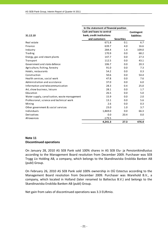|                                              | In the statement of financial position |                   |                    |
|----------------------------------------------|----------------------------------------|-------------------|--------------------|
|                                              | Cash and loans to central              |                   | Contingent         |
| 31.12.10                                     | bank, credit institutions              |                   | <b>liabilities</b> |
|                                              | and customers                          | <b>Securities</b> |                    |
| Real estate                                  | 671.8                                  | 0.1               | 6.7                |
| Finance                                      | 639.7                                  | 4.0               | 16.6               |
| Industry                                     | 284.4                                  | 1.4               | 109.0              |
| Trading                                      | 170.9                                  | 0.0               | 68.2               |
| Energy, gas and steam plants                 | 147.7                                  | 0.0               | 27.3               |
| Transport                                    | 112.5                                  | 0.0               | 43.1               |
| Government and state defence                 | 106.7                                  | 0.0               | 20.3               |
| Agriculture, fishing, forestry               | 91.0                                   | 0.0               | 7.3                |
| Hotels, restaurants                          | 54.2                                   | 0.0               | 0.3                |
| Construction                                 | 50.6                                   | 0.0               | 54.4               |
| Health services, social work                 | 47.8                                   | 0.0               | 7.6                |
| Administration and assistance                | 37.0                                   | 0.0               | 6.0                |
| Information and telecommunication            | 28.3                                   | 0.4               | 25.0               |
| Art, show business, leisure                  | 28.1                                   | 0.0               | 1.7                |
| Education                                    | 26.5                                   | 0.0               | 5.0                |
| Water supply, canalisation, waste management | 15.9                                   | 0.0               | 2.0                |
| Professional, science and technical work     | 13.1                                   | 0.0               | 5.6                |
| Mining                                       | 2.6                                    | 0.0               | 0.3                |
| Other government & social services           | 23.0                                   | 1.0               | 3.7                |
| Individuals                                  | 1,869.0                                | 0.0               | 66.3               |
| Derivatives                                  | 0.0                                    | 20.4              | 0.0                |
| Allowances                                   | $-179.5$                               |                   |                    |
|                                              | 4,241.3                                | 27.3              | 476.4              |

## **Note 11 Discontinued operations**

On January 28, 2010 AS SEB Pank sold 100% shares in AS SEB Elu‐ ja Pensionikindlustus according to the Management Board resolution from December 2009. Purchaser was SEB Trygg Liv Holding AB, a company, which belongs to the Skandinaviska Enskilda Banken AB (publ) Group.

On February 26, 2010 AS SEB Pank sold 100% ownership in OÜ Estectus according to the Management Board resolution from December 2009. Purchaser was Warehold B.V., a company, which located in Holland (later renamed to Baltectus B.V.) and belongs to the Skandinaviska Enskilda Banken AB (publ) Group.

Net gain from sales of discontinued operations was 3.3 EURmio.